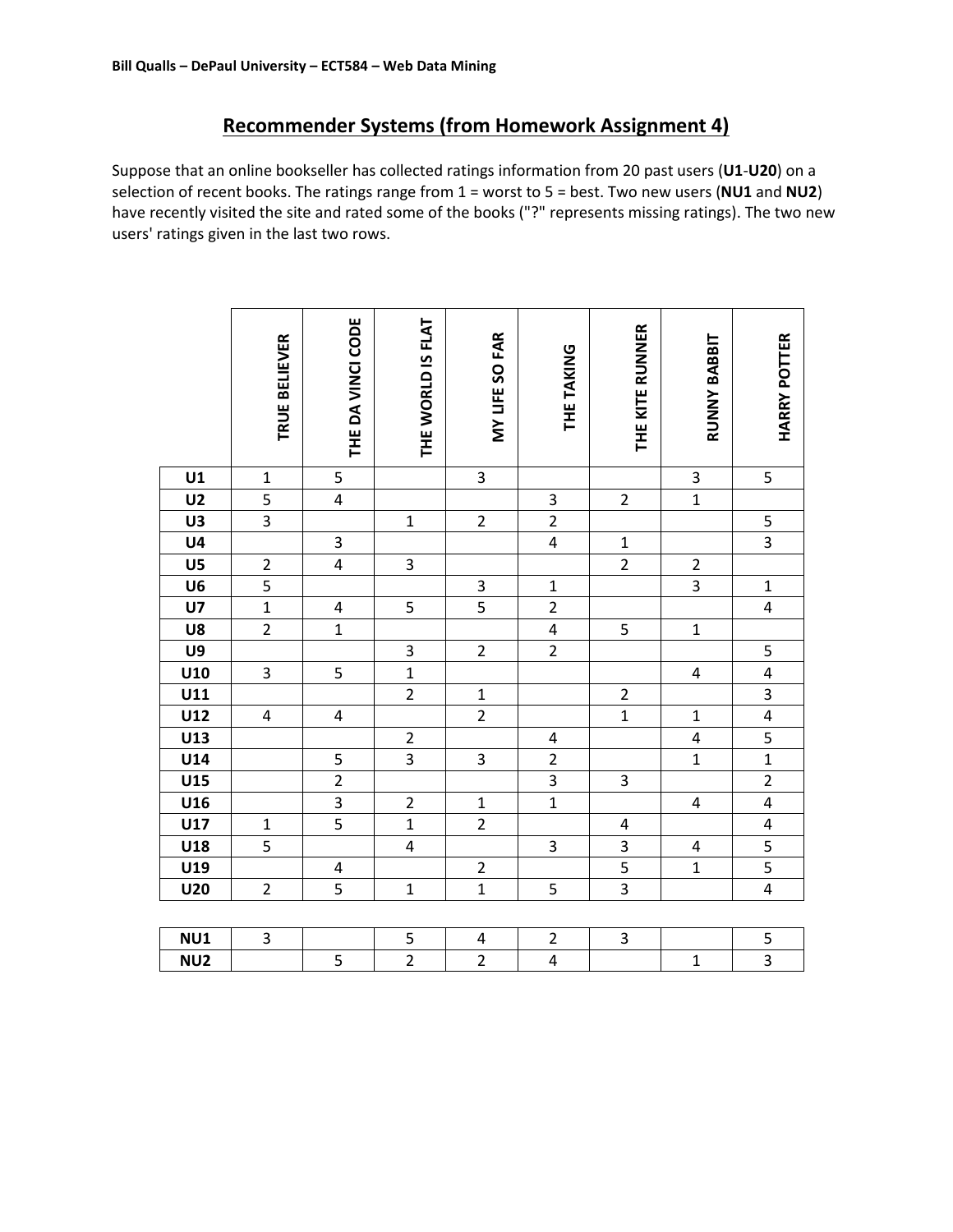# Recommender Systems (from Homework Assignment 4)

Suppose that an online bookseller has collected ratings information from 20 past users (U1-U20) on a selection of recent books. The ratings range from  $1 =$  worst to  $5 =$  best. Two new users (NU1 and NU2) have recently visited the site and rated some of the books ("?" represents missing ratings). The two new users' ratings given in the last two rows.

|                 | TRUE BELIEVER           | THE DA VINCI CODE       | THE WORLD IS FLAT | MY LIFE SO FAR          | THE TAKING              | THE KITE RUNNER         | RUNNY BABBIT            | <b>HARRY POTTER</b>     |
|-----------------|-------------------------|-------------------------|-------------------|-------------------------|-------------------------|-------------------------|-------------------------|-------------------------|
|                 |                         |                         |                   |                         |                         |                         |                         |                         |
| U1              | $\mathbf 1$             | 5                       |                   | 3                       |                         |                         | $\mathsf 3$             | 5                       |
| U <sub>2</sub>  | $\overline{\mathbf{5}}$ | $\overline{\mathbf{4}}$ |                   |                         | 3                       | $\mathbf 2$             | $\overline{1}$          |                         |
| U3              | $\overline{3}$          |                         | $\mathbf{1}$      | $\overline{2}$          | $\overline{2}$          |                         |                         | 5                       |
| U4              |                         | 3                       |                   |                         | $\overline{\mathbf{4}}$ | $\mathbf{1}$            |                         | $\overline{3}$          |
| U5              | $\overline{c}$          | $\overline{\mathbf{4}}$ | 3                 |                         |                         | $\overline{2}$          | $\mathbf 2$             |                         |
| U6              |                         |                         |                   | 3                       | $\mathbf{1}$            |                         | $\overline{3}$          | $\mathbf{1}$            |
| U7              | $\overline{1}$          | 4                       | 5                 | $\overline{5}$          | $\overline{2}$          |                         |                         | $\overline{\mathbf{4}}$ |
| U8              | $\overline{2}$          | $\mathbf{1}$            |                   |                         | $\overline{\mathbf{4}}$ | 5                       | $\mathbf{1}$            |                         |
| U9              |                         |                         | 3                 | $\overline{2}$          | $\overline{2}$          |                         |                         | $\overline{\mathbf{5}}$ |
| U10             | $\overline{\mathbf{3}}$ | 5                       | $\overline{1}$    |                         |                         |                         | $\overline{\mathbf{4}}$ | $\overline{4}$          |
| U11             |                         |                         | $\overline{2}$    | $\mathbf{1}$            |                         | $\overline{c}$          |                         | $\overline{3}$          |
| U12             | 4                       | 4                       |                   | $\overline{2}$          |                         | $\mathbf{1}$            | $\mathbf 1$             | $\overline{4}$          |
| U13             |                         |                         | $\overline{2}$    |                         | $\sqrt{4}$              |                         | $\overline{\mathbf{r}}$ | $\overline{\mathbf{5}}$ |
| U14             |                         | 5                       | $\overline{3}$    | $\overline{\mathbf{3}}$ | $\overline{2}$          |                         | $\mathbf 1$             | $\overline{1}$          |
| U15             |                         | $\overline{2}$          |                   |                         | $\overline{3}$          | 3                       |                         | $\overline{2}$          |
| U16             |                         | $\overline{3}$          | $\overline{2}$    | $\mathbf{1}$            | $\overline{1}$          |                         | $\overline{\mathbf{4}}$ | $\overline{4}$          |
| U17             | $\mathbf 1$             | $\overline{5}$          | $\overline{1}$    | $\overline{2}$          |                         | $\overline{\mathbf{4}}$ |                         | $\overline{\mathbf{4}}$ |
| U18             | $\overline{\mathbf{5}}$ |                         | $\overline{4}$    |                         | 3                       | $\overline{3}$          | $\overline{\mathbf{4}}$ | $\overline{\mathbf{5}}$ |
| U19             |                         | 4                       |                   | $\overline{c}$          |                         |                         | $\mathbf{1}$            | $\overline{5}$          |
| <b>U20</b>      | $\mathbf 2$             | 5                       | $\mathbf{1}$      | $\overline{1}$          | 5                       | $\overline{3}$          |                         | $\overline{4}$          |
|                 |                         |                         |                   |                         |                         |                         |                         |                         |
| NU1             | $\mathsf 3$             |                         | 5                 | 4                       | $\overline{2}$          | 3                       |                         | 5                       |
| NU <sub>2</sub> |                         | 5                       | $\overline{2}$    | $\overline{2}$          | 4                       |                         | $\mathbf{1}$            | $\overline{3}$          |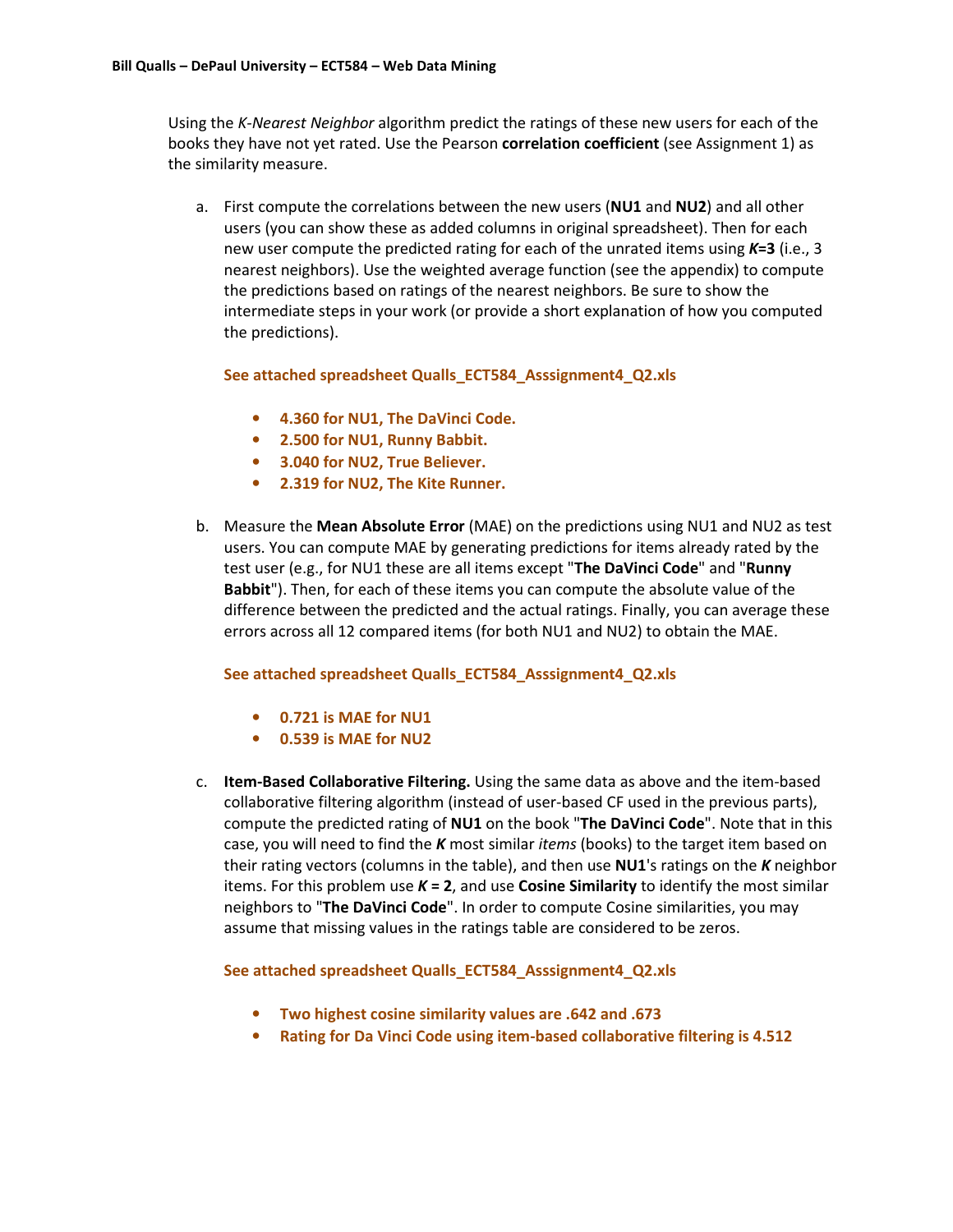Using the K-Nearest Neighbor algorithm predict the ratings of these new users for each of the books they have not yet rated. Use the Pearson correlation coefficient (see Assignment 1) as the similarity measure.

a. First compute the correlations between the new users (NU1 and NU2) and all other users (you can show these as added columns in original spreadsheet). Then for each new user compute the predicted rating for each of the unrated items using  $K=3$  (i.e., 3 nearest neighbors). Use the weighted average function (see the appendix) to compute the predictions based on ratings of the nearest neighbors. Be sure to show the intermediate steps in your work (or provide a short explanation of how you computed the predictions).

### See attached spreadsheet Qualls\_ECT584\_Asssignment4\_Q2.xls

- 4.360 for NU1, The DaVinci Code.
- 2.500 for NU1, Runny Babbit.
- 3.040 for NU2, True Believer.
- 2.319 for NU2, The Kite Runner.
- b. Measure the Mean Absolute Error (MAE) on the predictions using NU1 and NU2 as test users. You can compute MAE by generating predictions for items already rated by the test user (e.g., for NU1 these are all items except "The DaVinci Code" and "Runny Babbit"). Then, for each of these items you can compute the absolute value of the difference between the predicted and the actual ratings. Finally, you can average these errors across all 12 compared items (for both NU1 and NU2) to obtain the MAE.

### See attached spreadsheet Qualls\_ECT584\_Asssignment4\_Q2.xls

- 0.721 is MAE for NU1
- 0.539 is MAE for NU2
- c. Item-Based Collaborative Filtering. Using the same data as above and the item-based collaborative filtering algorithm (instead of user-based CF used in the previous parts), compute the predicted rating of NU1 on the book "The DaVinci Code". Note that in this case, you will need to find the  $K$  most similar *items* (books) to the target item based on their rating vectors (columns in the table), and then use  $NU1$ 's ratings on the K neighbor items. For this problem use  $K = 2$ , and use Cosine Similarity to identify the most similar neighbors to "The DaVinci Code". In order to compute Cosine similarities, you may assume that missing values in the ratings table are considered to be zeros.

# See attached spreadsheet Qualls\_ECT584\_Asssignment4\_Q2.xls

- Two highest cosine similarity values are .642 and .673
- Rating for Da Vinci Code using item-based collaborative filtering is 4.512